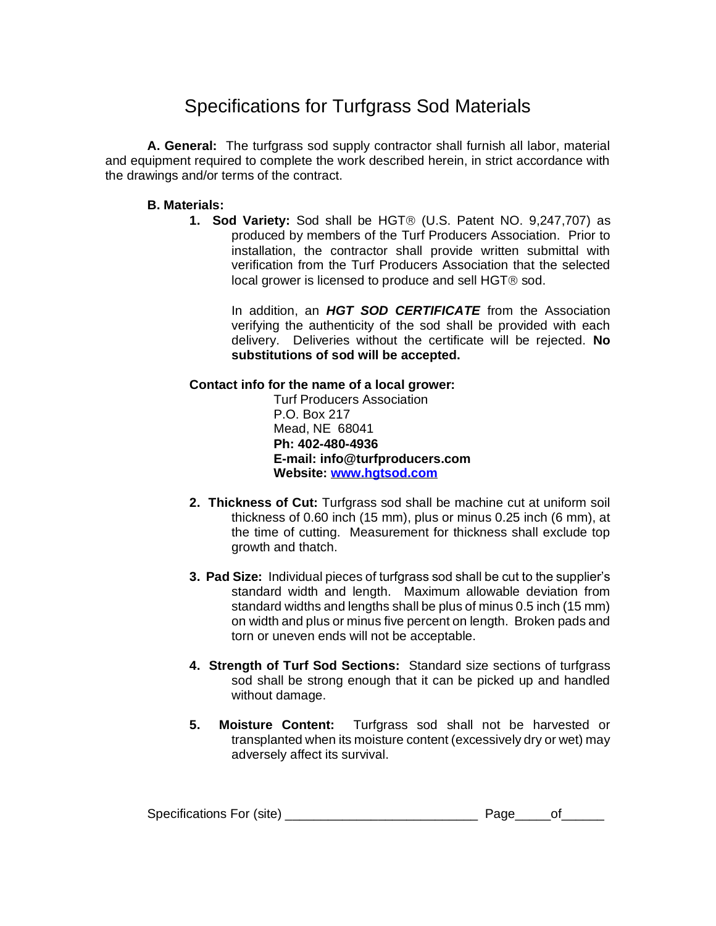## Specifications for Turfgrass Sod Materials

**A. General:** The turfgrass sod supply contractor shall furnish all labor, material and equipment required to complete the work described herein, in strict accordance with the drawings and/or terms of the contract.

## **B. Materials:**

**1. Sod Variety:** Sod shall be HGT<sup>®</sup> (U.S. Patent NO. 9,247,707) as produced by members of the Turf Producers Association. Prior to installation, the contractor shall provide written submittal with verification from the Turf Producers Association that the selected local grower is licensed to produce and sell  $HGT@$  sod.

> In addition, an *HGT SOD CERTIFICATE* from the Association verifying the authenticity of the sod shall be provided with each delivery. Deliveries without the certificate will be rejected. **No substitutions of sod will be accepted.**

## **Contact info for the name of a local grower:**

Turf Producers Association P.O. Box 217 Mead, NE 68041 **Ph: 402-480-4936 E-mail: info@turfproducers.com Website: [www.hgtsod.com](http://www.hgtsod.com/)**

- **2. Thickness of Cut:** Turfgrass sod shall be machine cut at uniform soil thickness of 0.60 inch (15 mm), plus or minus 0.25 inch (6 mm), at the time of cutting. Measurement for thickness shall exclude top growth and thatch.
- **3. Pad Size:** Individual pieces of turfgrass sod shall be cut to the supplier's standard width and length. Maximum allowable deviation from standard widths and lengths shall be plus of minus 0.5 inch (15 mm) on width and plus or minus five percent on length. Broken pads and torn or uneven ends will not be acceptable.
- **4. Strength of Turf Sod Sections:** Standard size sections of turfgrass sod shall be strong enough that it can be picked up and handled without damage.
- **5. Moisture Content:** Turfgrass sod shall not be harvested or transplanted when its moisture content (excessively dry or wet) may adversely affect its survival.

| Specifications For (site) |  |  |  |
|---------------------------|--|--|--|
|---------------------------|--|--|--|